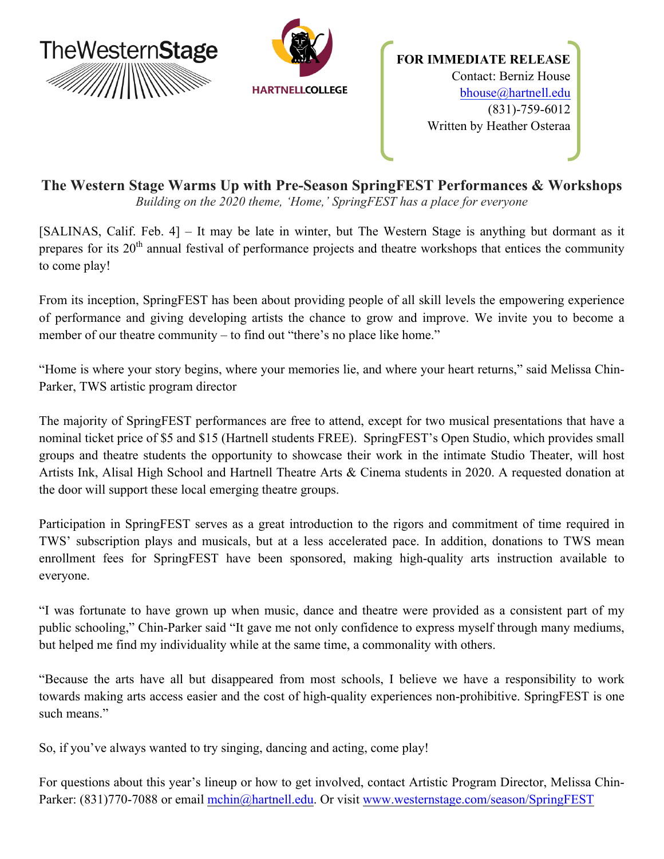

# **The Western Stage Warms Up with Pre-Season SpringFEST Performances & Workshops** *Building on the 2020 theme, 'Home,' SpringFEST has a place for everyone*

[SALINAS, Calif. Feb. 4] – It may be late in winter, but The Western Stage is anything but dormant as it prepares for its 20<sup>th</sup> annual festival of performance projects and theatre workshops that entices the community to come play!

From its inception, SpringFEST has been about providing people of all skill levels the empowering experience of performance and giving developing artists the chance to grow and improve. We invite you to become a member of our theatre community  $-$  to find out "there's no place like home."

"Home is where your story begins, where your memories lie, and where your heart returns," said Melissa Chin-Parker, TWS artistic program director

The majority of SpringFEST performances are free to attend, except for two musical presentations that have a nominal ticket price of \$5 and \$15 (Hartnell students FREE). SpringFEST's Open Studio, which provides small groups and theatre students the opportunity to showcase their work in the intimate Studio Theater, will host Artists Ink, Alisal High School and Hartnell Theatre Arts & Cinema students in 2020. A requested donation at the door will support these local emerging theatre groups.

Participation in SpringFEST serves as a great introduction to the rigors and commitment of time required in TWS' subscription plays and musicals, but at a less accelerated pace. In addition, donations to TWS mean enrollment fees for SpringFEST have been sponsored, making high-quality arts instruction available to everyone.

"I was fortunate to have grown up when music, dance and theatre were provided as a consistent part of my public schooling," Chin-Parker said "It gave me not only confidence to express myself through many mediums, but helped me find my individuality while at the same time, a commonality with others.

"Because the arts have all but disappeared from most schools, I believe we have a responsibility to work towards making arts access easier and the cost of high-quality experiences non-prohibitive. SpringFEST is one such means"

So, if you've always wanted to try singing, dancing and acting, come play!

For questions about this year's lineup or how to get involved, contact Artistic Program Director, Melissa Chin-Parker: (831)770-7088 or email mchin@hartnell.edu. Or visit www.westernstage.com/season/SpringFEST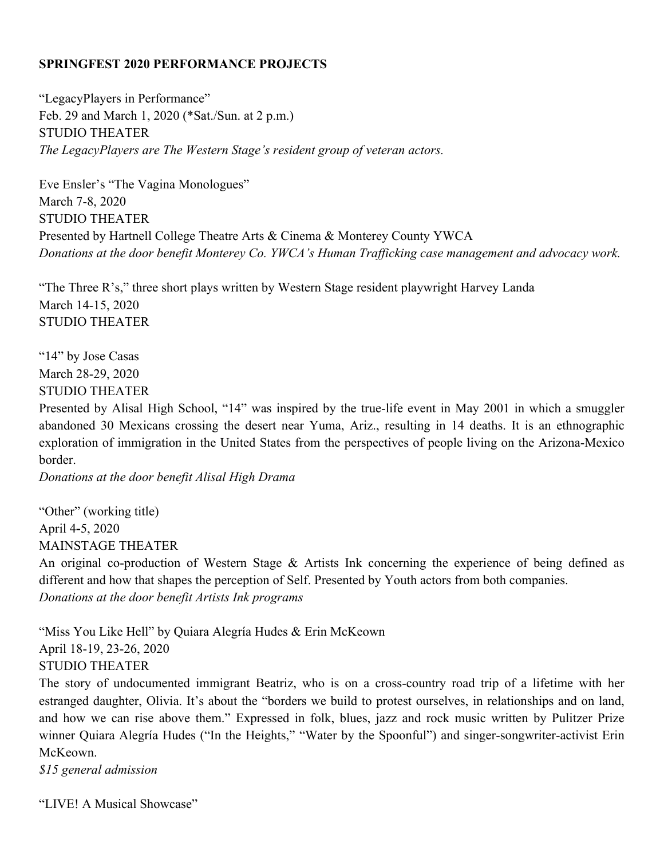## **SPRINGFEST 2020 PERFORMANCE PROJECTS**

"LegacyPlayers in Performance" Feb. 29 and March 1, 2020 (\*Sat./Sun. at 2 p.m.) STUDIO THEATER *The LegacyPlayers are The Western Stage's resident group of veteran actors.*

Eve Ensler's "The Vagina Monologues" March 7-8, 2020 STUDIO THEATER Presented by Hartnell College Theatre Arts & Cinema & Monterey County YWCA *Donations at the door benefit Monterey Co. YWCA's Human Trafficking case management and advocacy work.*

"The Three R's," three short plays written by Western Stage resident playwright Harvey Landa March 14-15, 2020 STUDIO THEATER

"14" by Jose Casas March 28-29, 2020 STUDIO THEATER

Presented by Alisal High School, "14" was inspired by the true-life event in May 2001 in which a smuggler abandoned 30 Mexicans crossing the desert near Yuma, Ariz., resulting in 14 deaths. It is an ethnographic exploration of immigration in the United States from the perspectives of people living on the Arizona-Mexico border.

*Donations at the door benefit Alisal High Drama*

"Other" (working title) April 4**-**5, 2020 MAINSTAGE THEATER

An original co-production of Western Stage & Artists Ink concerning the experience of being defined as different and how that shapes the perception of Self. Presented by Youth actors from both companies. *Donations at the door benefit Artists Ink programs*

"Miss You Like Hell" by Quiara Alegría Hudes & Erin McKeown April 18-19, 23-26, 2020 STUDIO THEATER

The story of undocumented immigrant Beatriz, who is on a cross-country road trip of a lifetime with her estranged daughter, Olivia. It's about the "borders we build to protest ourselves, in relationships and on land, and how we can rise above them." Expressed in folk, blues, jazz and rock music written by Pulitzer Prize winner Quiara Alegría Hudes ("In the Heights," "Water by the Spoonful") and singer-songwriter-activist Erin McKeown.

*\$15 general admission*

"LIVE! A Musical Showcase"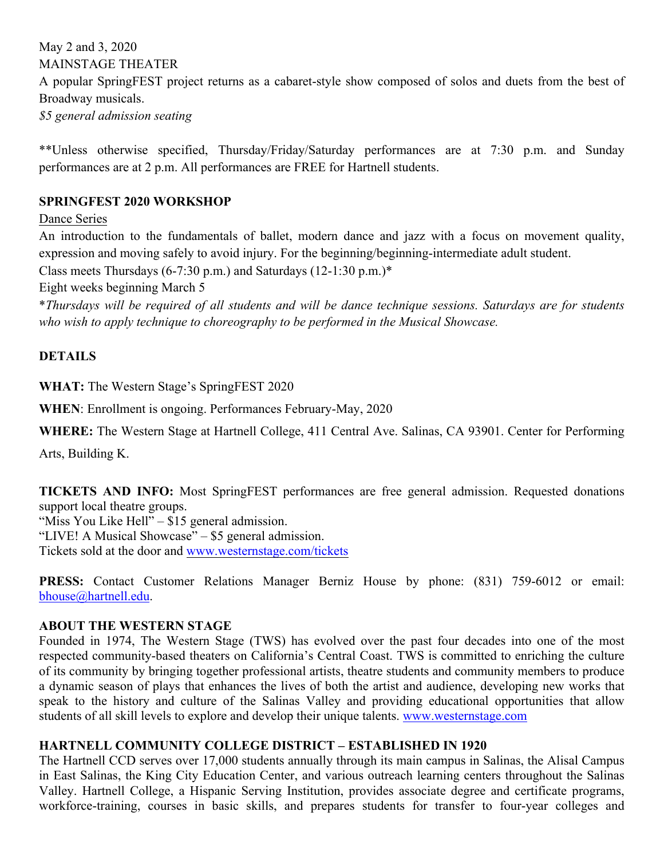May 2 and 3, 2020 MAINSTAGE THEATER A popular SpringFEST project returns as a cabaret-style show composed of solos and duets from the best of Broadway musicals. *\$5 general admission seating*

\*\*Unless otherwise specified, Thursday/Friday/Saturday performances are at 7:30 p.m. and Sunday performances are at 2 p.m. All performances are FREE for Hartnell students.

## **SPRINGFEST 2020 WORKSHOP**

Dance Series

An introduction to the fundamentals of ballet, modern dance and jazz with a focus on movement quality, expression and moving safely to avoid injury. For the beginning/beginning-intermediate adult student.

Class meets Thursdays (6-7:30 p.m.) and Saturdays (12-1:30 p.m.)\*

Eight weeks beginning March 5

\*Thursdays will be required of all students and will be dance technique sessions. Saturdays are for students *who wish to apply technique to choreography to be performed in the Musical Showcase.*

## **DETAILS**

**WHAT:** The Western Stage's SpringFEST 2020

**WHEN**: Enrollment is ongoing. Performances February-May, 2020

**WHERE:** The Western Stage at Hartnell College, 411 Central Ave. Salinas, CA 93901. Center for Performing

Arts, Building K.

**TICKETS AND INFO:** Most SpringFEST performances are free general admission. Requested donations support local theatre groups. "Miss You Like Hell"  $-$  \$15 general admission.

"LIVE! A Musical Showcase" ‒ \$5 general admission.

Tickets sold at the door and www.westernstage.com/tickets

**PRESS:** Contact Customer Relations Manager Berniz House by phone: (831) 759-6012 or email: bhouse@hartnell.edu.

#### **ABOUT THE WESTERN STAGE**

Founded in 1974, The Western Stage (TWS) has evolved over the past four decades into one of the most respected community-based theaters on California's Central Coast. TWS is committed to enriching the culture of its community by bringing together professional artists, theatre students and community members to produce a dynamic season of plays that enhances the lives of both the artist and audience, developing new works that speak to the history and culture of the Salinas Valley and providing educational opportunities that allow students of all skill levels to explore and develop their unique talents. www.westernstage.com

#### **HARTNELL COMMUNITY COLLEGE DISTRICT – ESTABLISHED IN 1920**

The Hartnell CCD serves over 17,000 students annually through its main campus in Salinas, the Alisal Campus in East Salinas, the King City Education Center, and various outreach learning centers throughout the Salinas Valley. Hartnell College, a Hispanic Serving Institution, provides associate degree and certificate programs, workforce-training, courses in basic skills, and prepares students for transfer to four-year colleges and